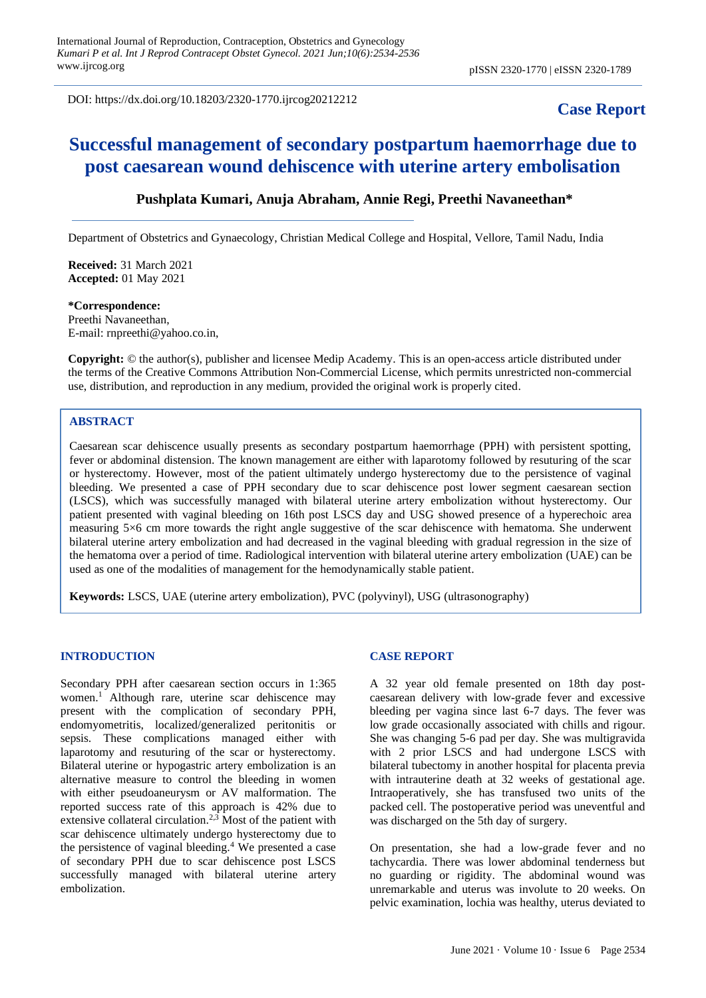DOI: https://dx.doi.org/10.18203/2320-1770.ijrcog20212212

# **Case Report**

# **Successful management of secondary postpartum haemorrhage due to post caesarean wound dehiscence with uterine artery embolisation**

## **Pushplata Kumari, Anuja Abraham, Annie Regi, Preethi Navaneethan\***

Department of Obstetrics and Gynaecology, Christian Medical College and Hospital, Vellore, Tamil Nadu, India

**Received:** 31 March 2021 **Accepted:** 01 May 2021

# **\*Correspondence:** Preethi Navaneethan,

E-mail: rnpreethi@yahoo.co.in,

**Copyright:** © the author(s), publisher and licensee Medip Academy. This is an open-access article distributed under the terms of the Creative Commons Attribution Non-Commercial License, which permits unrestricted non-commercial use, distribution, and reproduction in any medium, provided the original work is properly cited.

# **ABSTRACT**

Caesarean scar dehiscence usually presents as secondary postpartum haemorrhage (PPH) with persistent spotting, fever or abdominal distension. The known management are either with laparotomy followed by resuturing of the scar or hysterectomy. However, most of the patient ultimately undergo hysterectomy due to the persistence of vaginal bleeding. We presented a case of PPH secondary due to scar dehiscence post lower segment caesarean section (LSCS), which was successfully managed with bilateral uterine artery embolization without hysterectomy. Our patient presented with vaginal bleeding on 16th post LSCS day and USG showed presence of a hyperechoic area measuring 5×6 cm more towards the right angle suggestive of the scar dehiscence with hematoma. She underwent bilateral uterine artery embolization and had decreased in the vaginal bleeding with gradual regression in the size of the hematoma over a period of time. Radiological intervention with bilateral uterine artery embolization (UAE) can be used as one of the modalities of management for the hemodynamically stable patient.

**Keywords:** LSCS, UAE (uterine artery embolization), PVC (polyvinyl), USG (ultrasonography)

## **INTRODUCTION**

Secondary PPH after caesarean section occurs in 1:365 women.<sup>1</sup> Although rare, uterine scar dehiscence may present with the complication of secondary PPH, endomyometritis, localized/generalized peritonitis or sepsis. These complications managed either with laparotomy and resuturing of the scar or hysterectomy. Bilateral uterine or hypogastric artery embolization is an alternative measure to control the bleeding in women with either pseudoaneurysm or AV malformation. The reported success rate of this approach is 42% due to extensive collateral circulation.<sup>2,3</sup> Most of the patient with scar dehiscence ultimately undergo hysterectomy due to the persistence of vaginal bleeding.<sup>4</sup> We presented a case of secondary PPH due to scar dehiscence post LSCS successfully managed with bilateral uterine artery embolization.

#### **CASE REPORT**

A 32 year old female presented on 18th day postcaesarean delivery with low-grade fever and excessive bleeding per vagina since last 6-7 days. The fever was low grade occasionally associated with chills and rigour. She was changing 5-6 pad per day. She was multigravida with 2 prior LSCS and had undergone LSCS with bilateral tubectomy in another hospital for placenta previa with intrauterine death at 32 weeks of gestational age. Intraoperatively, she has transfused two units of the packed cell. The postoperative period was uneventful and was discharged on the 5th day of surgery.

On presentation, she had a low-grade fever and no tachycardia. There was lower abdominal tenderness but no guarding or rigidity. The abdominal wound was unremarkable and uterus was involute to 20 weeks. On pelvic examination, lochia was healthy, uterus deviated to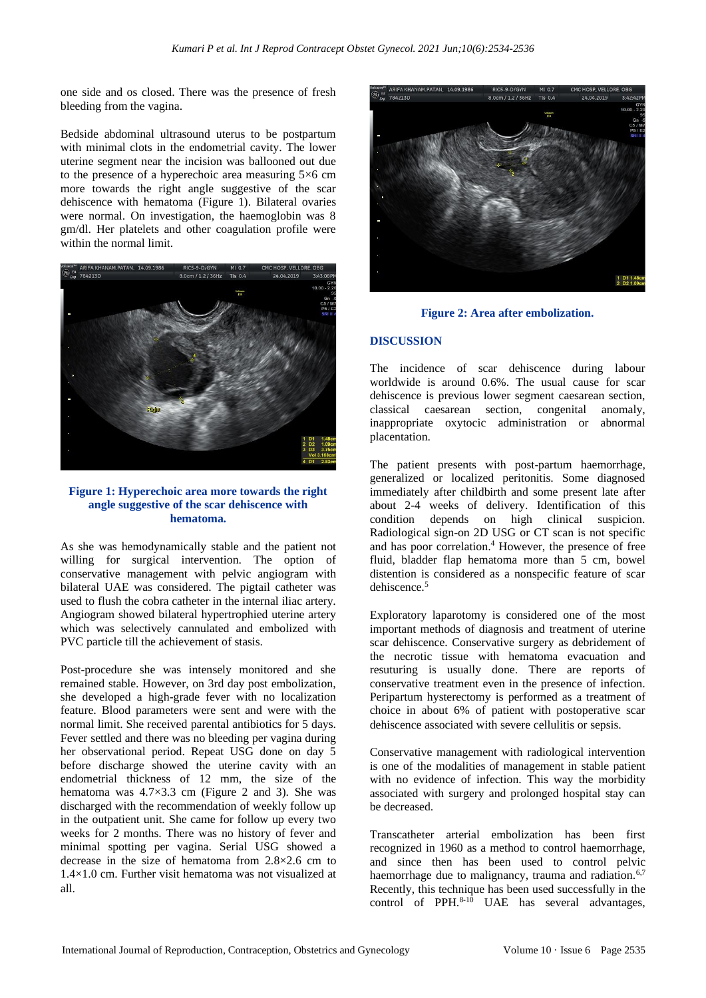one side and os closed. There was the presence of fresh bleeding from the vagina.

Bedside abdominal ultrasound uterus to be postpartum with minimal clots in the endometrial cavity. The lower uterine segment near the incision was ballooned out due to the presence of a hyperechoic area measuring  $5\times 6$  cm more towards the right angle suggestive of the scar dehiscence with hematoma (Figure 1). Bilateral ovaries were normal. On investigation, the haemoglobin was 8 gm/dl. Her platelets and other coagulation profile were within the normal limit.



#### **Figure 1: Hyperechoic area more towards the right angle suggestive of the scar dehiscence with hematoma.**

As she was hemodynamically stable and the patient not willing for surgical intervention. The option of conservative management with pelvic angiogram with bilateral UAE was considered. The pigtail catheter was used to flush the cobra catheter in the internal iliac artery. Angiogram showed bilateral hypertrophied uterine artery which was selectively cannulated and embolized with PVC particle till the achievement of stasis.

Post-procedure she was intensely monitored and she remained stable. However, on 3rd day post embolization, she developed a high-grade fever with no localization feature. Blood parameters were sent and were with the normal limit. She received parental antibiotics for 5 days. Fever settled and there was no bleeding per vagina during her observational period. Repeat USG done on day 5 before discharge showed the uterine cavity with an endometrial thickness of 12 mm, the size of the hematoma was 4.7×3.3 cm (Figure 2 and 3). She was discharged with the recommendation of weekly follow up in the outpatient unit. She came for follow up every two weeks for 2 months. There was no history of fever and minimal spotting per vagina. Serial USG showed a decrease in the size of hematoma from 2.8×2.6 cm to 1.4×1.0 cm. Further visit hematoma was not visualized at all.



**Figure 2: Area after embolization.**

## **DISCUSSION**

The incidence of scar dehiscence during labour worldwide is around 0.6%. The usual cause for scar dehiscence is previous lower segment caesarean section, classical caesarean section, congenital anomaly, inappropriate oxytocic administration or abnormal placentation.

The patient presents with post-partum haemorrhage, generalized or localized peritonitis. Some diagnosed immediately after childbirth and some present late after about 2-4 weeks of delivery. Identification of this condition depends on high clinical suspicion. Radiological sign-on 2D USG or CT scan is not specific and has poor correlation.<sup>4</sup> However, the presence of free fluid, bladder flap hematoma more than 5 cm, bowel distention is considered as a nonspecific feature of scar dehiscence.<sup>5</sup>

Exploratory laparotomy is considered one of the most important methods of diagnosis and treatment of uterine scar dehiscence. Conservative surgery as debridement of the necrotic tissue with hematoma evacuation and resuturing is usually done. There are reports of conservative treatment even in the presence of infection. Peripartum hysterectomy is performed as a treatment of choice in about 6% of patient with postoperative scar dehiscence associated with severe cellulitis or sepsis.

Conservative management with radiological intervention is one of the modalities of management in stable patient with no evidence of infection. This way the morbidity associated with surgery and prolonged hospital stay can be decreased.

Transcatheter arterial embolization has been first recognized in 1960 as a method to control haemorrhage, and since then has been used to control pelvic haemorrhage due to malignancy, trauma and radiation.<sup>6,7</sup> Recently, this technique has been used successfully in the control of PPH.<sup>8-10</sup> UAE has several advantages,